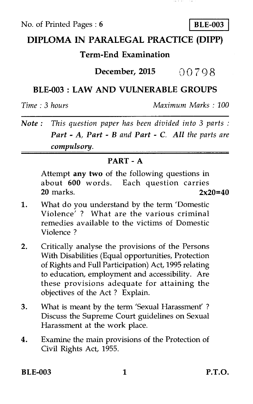No. of Printed Pages : **6 I BLE-003** 

## **DIPLOMA IN PARALEGAL PRACTICE (DIPP)**

## **Term-End Examination**

**December, 2015 0** 7 9 8

## **BLE-003 : LAW AND VULNERABLE GROUPS**

*Time : 3 hours Maximum Marks : 100* 

*Note : This question paper has been divided into 3 parts : Part - A, Part - B and Part - C. All the parts are compulsory.* 

### **PART - A**

Attempt **any two** of the following questions in about **600** words. Each question carries **20** marks. **2x20=40** 

- 1. What do you understand by the term 'Domestic Violence' ? What are the various criminal remedies available to the victims of Domestic Violence ?
- 2. Critically analyse the provisions of the Persons With Disabilities (Equal opportunities, Protection of Rights and Full Participation) Act, 1995 relating to education, employment and accessibility. Are these provisions adequate for attaining the objectives of the Act ? Explain.
- 3. What is meant by the term 'Sexual Harassment' ? Discuss the Supreme Court guidelines on Sexual Harassment at the work place.
- 4. Examine the main provisions of the Protection of Civil Rights Act, 1955.

**BLE-003** 1 **P.T.O.**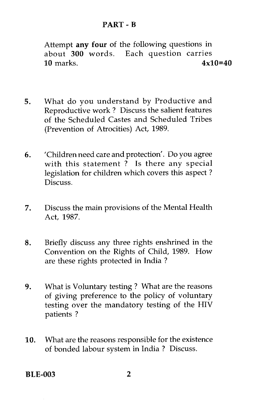Attempt **any four** of the following questions in about **300** words. Each question carries 10 marks. **4x10=40** 

- 5. What do you understand by Productive and Reproductive work ? Discuss the salient features of the Scheduled Castes and Scheduled Tribes (Prevention of Atrocities) Act, 1989.
- 6. 'Children need care and protection'. Do you agree with this statement ? Is there any special legislation for children which covers this aspect ? Discuss.
- 7. Discuss the main provisions of the Mental Health Act, 1987.
- 8. Briefly discuss any three rights enshrined in the Convention on the Rights of Child, 1989. How are these rights protected in India ?
- 9. What is Voluntary testing ? What are the reasons of giving preference to the policy of voluntary testing over the mandatory testing of the HIV patients ?
- 10. What are the reasons responsible for the existence of bonded labour system in India ? Discuss.

**BLE-003 2**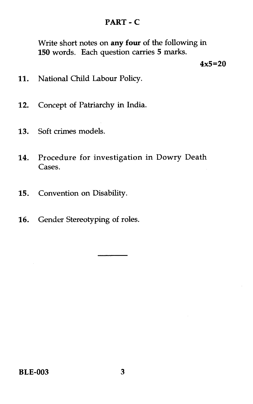## **PART - C**

Write short notes on **any four** of the following in **150** words. Each question carries **5** marks.

**4x5=20** 

- 11. National Child Labour Policy.
- 12. Concept of Patriarchy in India.
- 13. Soft crimes models.
- 14. Procedure for investigation in Dowry Death Cases.
- 15. Convention on Disability.
- 16. Gender Stereotyping of roles.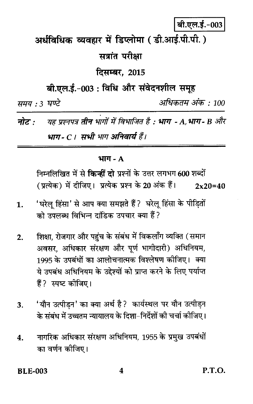# बी.एल.ई.-003

अर्धविधिक व्यवहार में डिप्लोमा ( डी.आई.पी.पी. )

## सत्रांत परीक्षा

**दिसम्बर. 2015** 

बी.एल.ई.-003 : विधि और संवेदनशील समूह

समय : 3 घण्टे

अधिकतम् अंक : 100

नोट : यह प्रश्नपत्र तीन भागों में विभाजित है : भाग - A.भाग- B और भाग - C । सभी भाग अनिवार्य हैं।

#### भाग - A

निम्नलिखित में से **किन्हीं दो** प्रश्नों के उत्तर लगभग 600 शब्दों (प्रत्येक) में दीजिए। प्रत्येक प्रश्न के 20 अंक हैं।  $2x20=40$ 

- 'घरेलू हिंसा' से आप क्या समझते हैं ? घरेलू हिंसा के पीड़ितों  $\mathbf{1}$ . को उपलब्ध विभिन्न टांडिक उपचार क्या हैं?
- शिक्षा, रोजगार और पहुंच के संबंध में विकलाँग व्यक्ति (समान  $2.$ अवसर, अधिकार संरक्षण और पूर्ण भागीदारी) अधिनियम, 1995 के उपबंधों का आलोचनात्मक विश्लेषण कीजिए। क्या ये उपबंध अधिनियम के उद्देश्यों को प्राप्त करने के लिए पर्याप्त हैं? स्पष्ट कीजिए।
- 'यौन उत्पीडन' का क्या अर्थ है? कार्यस्थल पर यौन उत्पीडन 3. के संबंध में उच्चतम न्यायालय के दिशा-निर्देशों की चर्चा कीजिए।
- नागरिक अधिकार संरक्षण अधिनियम, 1955 के प्रमुख उपबंधों  $\overline{4}$ . का वर्णन कोजिए।

**BLE-003** 

**P.T.O.**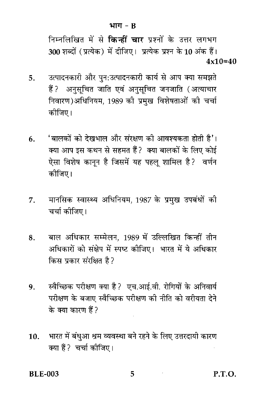निम्नलिखित में से **किन्हीं चार** प्रश्नों के उत्तर लगभग 300 शब्दों (प्रत्येक) में दीजिए। प्रत्येक प्रश्न के 10 अंक हैं।  $4x10=40$ 

- उत्पादनकारी और पन:उत्पादनकारी कार्य से आप क्या समझते 5. हैं ? अनुसूचित जाति एवं अनुसूचित जनजाति (अत्याचार निवारण)अधिनियम, 1989 की प्रमख विशेषताओं की चर्चा कोजिए।
- 'बालकों को देखभाल और संरक्षण की आवश्यकता होती है'। 6. क्या आप इस कथन से सहमत हैं? क्या बालकों के लिए कोई ऐसा विशेष कानून है जिसमें यह पहलू शामिल है? वर्णन कीजिए।
- मानसिक स्वास्थ्य अधिनियम, 1987 के प्रमख उपबंधों की 7. चर्चा कोजिए।
- बाल अधिकार सम्मेलन, 1989 में उल्लिखित किन्हीं तीन 8. अधिकारों को संक्षेप में स्पष्ट कीजिए। भारत में ये अधिकार किस प्रकार संरक्षित है?
- स्वैच्छिक परीक्षण क्या है? एच.आई.वी. रोगियों के अनिवार्य 9. परीक्षण के बजाए स्वैच्छिक परीक्षण की नीति को वरीयता देने के क्या कारण हैं?
- भारत में बंधुआ श्रम व्यवस्था बने रहने के लिए उत्तरदायी कारण  $10.$ क्या हैं ? चर्चा कोजिए।

**BLE-003** 

5

 $P.T.O.$